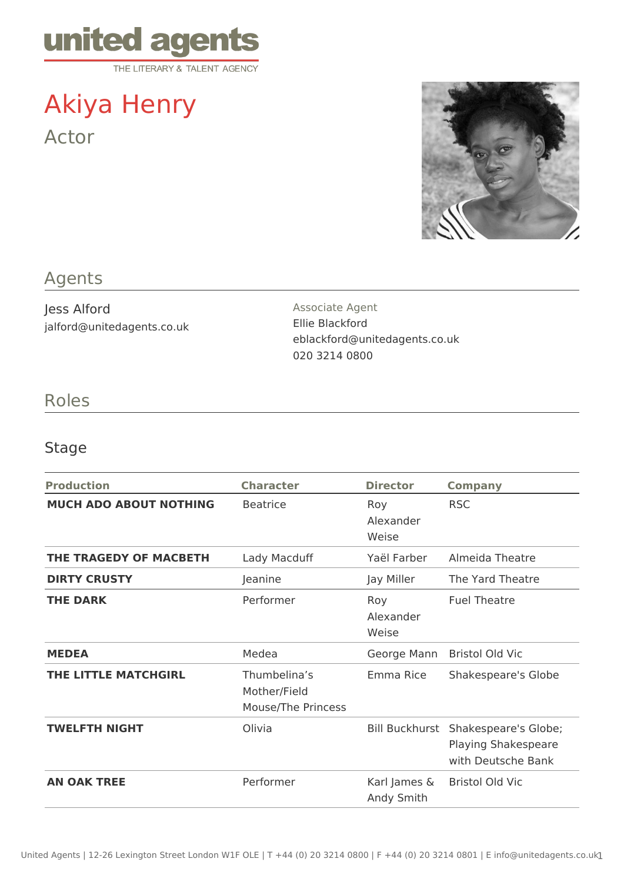

# Akiya Henry Actor



## Agents

Jess Alford jalford@unitedagents.co.uk Associate Agent Ellie Blackford eblackford@unitedagents.co.uk 020 3214 0800

### Roles

### Stage

| <b>Production</b>             | <b>Character</b>                                   | <b>Director</b>            | <b>Company</b>                                                    |
|-------------------------------|----------------------------------------------------|----------------------------|-------------------------------------------------------------------|
| <b>MUCH ADO ABOUT NOTHING</b> | <b>Beatrice</b>                                    | Roy<br>Alexander<br>Weise  | <b>RSC</b>                                                        |
| THE TRAGEDY OF MACBETH        | Lady Macduff                                       | Yaël Farber                | Almeida Theatre                                                   |
| <b>DIRTY CRUSTY</b>           | Jeanine                                            | Jay Miller                 | The Yard Theatre                                                  |
| <b>THE DARK</b>               | Performer                                          | Roy<br>Alexander<br>Weise  | <b>Fuel Theatre</b>                                               |
| <b>MEDEA</b>                  | Medea                                              | George Mann                | <b>Bristol Old Vic</b>                                            |
| THE LITTLE MATCHGIRL          | Thumbelina's<br>Mother/Field<br>Mouse/The Princess | Emma Rice                  | Shakespeare's Globe                                               |
| <b>TWELFTH NIGHT</b>          | Olivia                                             | <b>Bill Buckhurst</b>      | Shakespeare's Globe;<br>Playing Shakespeare<br>with Deutsche Bank |
| <b>AN OAK TREE</b>            | Performer                                          | Karl James &<br>Andy Smith | <b>Bristol Old Vic</b>                                            |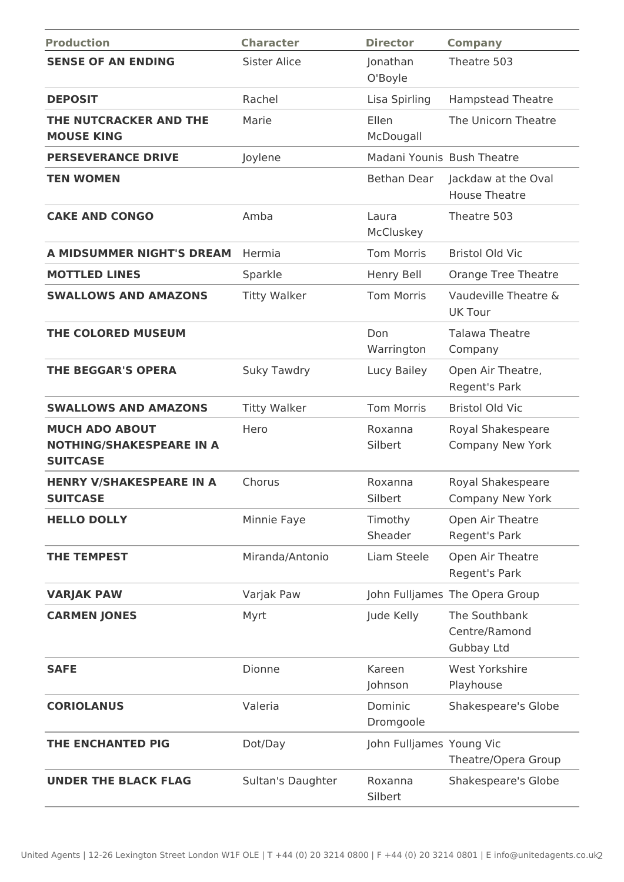| <b>Production</b>                                                           | <b>Character</b>    | <b>Director</b>            | <b>Company</b>                               |
|-----------------------------------------------------------------------------|---------------------|----------------------------|----------------------------------------------|
| <b>SENSE OF AN ENDING</b>                                                   | <b>Sister Alice</b> | Jonathan<br>O'Boyle        | Theatre 503                                  |
| <b>DEPOSIT</b>                                                              | Rachel              | Lisa Spirling              | <b>Hampstead Theatre</b>                     |
| THE NUTCRACKER AND THE<br><b>MOUSE KING</b>                                 | Marie               | Ellen<br>McDougall         | The Unicorn Theatre                          |
| <b>PERSEVERANCE DRIVE</b>                                                   | Joylene             | Madani Younis Bush Theatre |                                              |
| <b>TEN WOMEN</b>                                                            |                     | Bethan Dear                | Jackdaw at the Oval<br><b>House Theatre</b>  |
| <b>CAKE AND CONGO</b>                                                       | Amba                | Laura<br>McCluskey         | Theatre 503                                  |
| A MIDSUMMER NIGHT'S DREAM                                                   | Hermia              | <b>Tom Morris</b>          | <b>Bristol Old Vic</b>                       |
| <b>MOTTLED LINES</b>                                                        | Sparkle             | Henry Bell                 | Orange Tree Theatre                          |
| <b>SWALLOWS AND AMAZONS</b>                                                 | <b>Titty Walker</b> | <b>Tom Morris</b>          | Vaudeville Theatre &<br><b>UK Tour</b>       |
| THE COLORED MUSEUM                                                          |                     | Don<br>Warrington          | <b>Talawa Theatre</b><br>Company             |
| <b>THE BEGGAR'S OPERA</b>                                                   | <b>Suky Tawdry</b>  | Lucy Bailey                | Open Air Theatre,<br>Regent's Park           |
| <b>SWALLOWS AND AMAZONS</b>                                                 | <b>Titty Walker</b> | <b>Tom Morris</b>          | <b>Bristol Old Vic</b>                       |
| <b>MUCH ADO ABOUT</b><br><b>NOTHING/SHAKESPEARE IN A</b><br><b>SUITCASE</b> | Hero                | Roxanna<br>Silbert         | Royal Shakespeare<br>Company New York        |
| <b>HENRY V/SHAKESPEARE IN A</b><br><b>SUITCASE</b>                          | Chorus              | Roxanna<br>Silbert         | Royal Shakespeare<br>Company New York        |
| <b>HELLO DOLLY</b>                                                          | Minnie Faye         | Timothy<br>Sheader         | Open Air Theatre<br>Regent's Park            |
| <b>THE TEMPEST</b>                                                          | Miranda/Antonio     | Liam Steele                | Open Air Theatre<br>Regent's Park            |
| <b>VARJAK PAW</b>                                                           | Varjak Paw          |                            | John Fulljames The Opera Group               |
| <b>CARMEN JONES</b>                                                         | Myrt                | Jude Kelly                 | The Southbank<br>Centre/Ramond<br>Gubbay Ltd |
| <b>SAFE</b>                                                                 | Dionne              | Kareen<br>Johnson          | <b>West Yorkshire</b><br>Playhouse           |
| <b>CORIOLANUS</b>                                                           | Valeria             | Dominic<br>Dromgoole       | Shakespeare's Globe                          |
| THE ENCHANTED PIG                                                           | Dot/Day             | John Fulljames Young Vic   | Theatre/Opera Group                          |
| <b>UNDER THE BLACK FLAG</b>                                                 | Sultan's Daughter   | Roxanna<br>Silbert         | Shakespeare's Globe                          |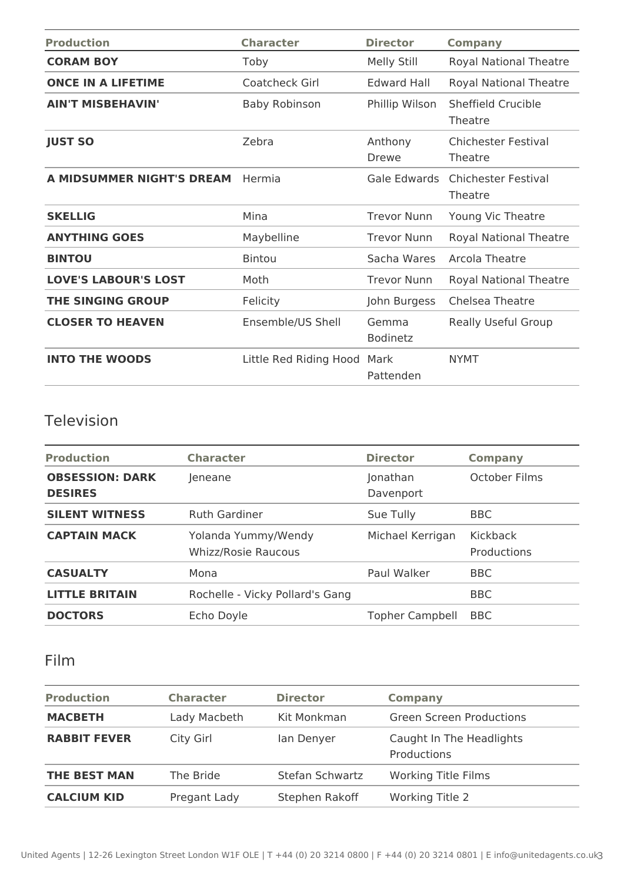| <b>Production</b>           | <b>Character</b>       | <b>Director</b>          | <b>Company</b>                        |
|-----------------------------|------------------------|--------------------------|---------------------------------------|
| <b>CORAM BOY</b>            | Toby                   | Melly Still              | <b>Royal National Theatre</b>         |
| <b>ONCE IN A LIFETIME</b>   | Coatcheck Girl         | <b>Edward Hall</b>       | <b>Royal National Theatre</b>         |
| <b>AIN'T MISBEHAVIN'</b>    | <b>Baby Robinson</b>   | Phillip Wilson           | Sheffield Crucible<br>Theatre         |
| <b>JUST SO</b>              | Zebra                  | Anthony<br><b>Drewe</b>  | Chichester Festival<br>Theatre        |
| A MIDSUMMER NIGHT'S DREAM   | Hermia                 | Gale Edwards             | <b>Chichester Festival</b><br>Theatre |
| <b>SKELLIG</b>              | Mina                   | <b>Trevor Nunn</b>       | Young Vic Theatre                     |
| <b>ANYTHING GOES</b>        | Maybelline             | <b>Trevor Nunn</b>       | <b>Royal National Theatre</b>         |
| <b>BINTOU</b>               | <b>Bintou</b>          | Sacha Wares              | Arcola Theatre                        |
| <b>LOVE'S LABOUR'S LOST</b> | Moth                   | <b>Trevor Nunn</b>       | <b>Royal National Theatre</b>         |
| <b>THE SINGING GROUP</b>    | Felicity               | John Burgess             | Chelsea Theatre                       |
| <b>CLOSER TO HEAVEN</b>     | Ensemble/US Shell      | Gemma<br><b>Bodinetz</b> | Really Useful Group                   |
| <b>INTO THE WOODS</b>       | Little Red Riding Hood | Mark<br>Pattenden        | <b>NYMT</b>                           |

# Television

| <b>Production</b>                        | <b>Character</b>                                  | <b>Director</b>        | <b>Company</b>          |
|------------------------------------------|---------------------------------------------------|------------------------|-------------------------|
| <b>OBSESSION: DARK</b><br><b>DESIRES</b> | Jeneane                                           | Jonathan<br>Davenport  | October Films           |
| <b>SILENT WITNESS</b>                    | <b>Ruth Gardiner</b>                              | Sue Tully              | <b>BBC</b>              |
| <b>CAPTAIN MACK</b>                      | Yolanda Yummy/Wendy<br><b>Whizz/Rosie Raucous</b> | Michael Kerrigan       | Kickback<br>Productions |
| <b>CASUALTY</b>                          | Mona                                              | Paul Walker            | <b>BBC</b>              |
| <b>LITTLE BRITAIN</b>                    | Rochelle - Vicky Pollard's Gang                   |                        | <b>BBC</b>              |
| <b>DOCTORS</b>                           | Echo Doyle                                        | <b>Topher Campbell</b> | <b>BBC</b>              |

### Film

| <b>Production</b>   | <b>Character</b> | <b>Director</b> | <b>Company</b>                          |
|---------------------|------------------|-----------------|-----------------------------------------|
| <b>MACBETH</b>      | Lady Macbeth     | Kit Monkman     | <b>Green Screen Productions</b>         |
| <b>RABBIT FEVER</b> | City Girl        | lan Denyer      | Caught In The Headlights<br>Productions |
| <b>THE BEST MAN</b> | The Bride        | Stefan Schwartz | <b>Working Title Films</b>              |
| <b>CALCIUM KID</b>  | Pregant Lady     | Stephen Rakoff  | <b>Working Title 2</b>                  |